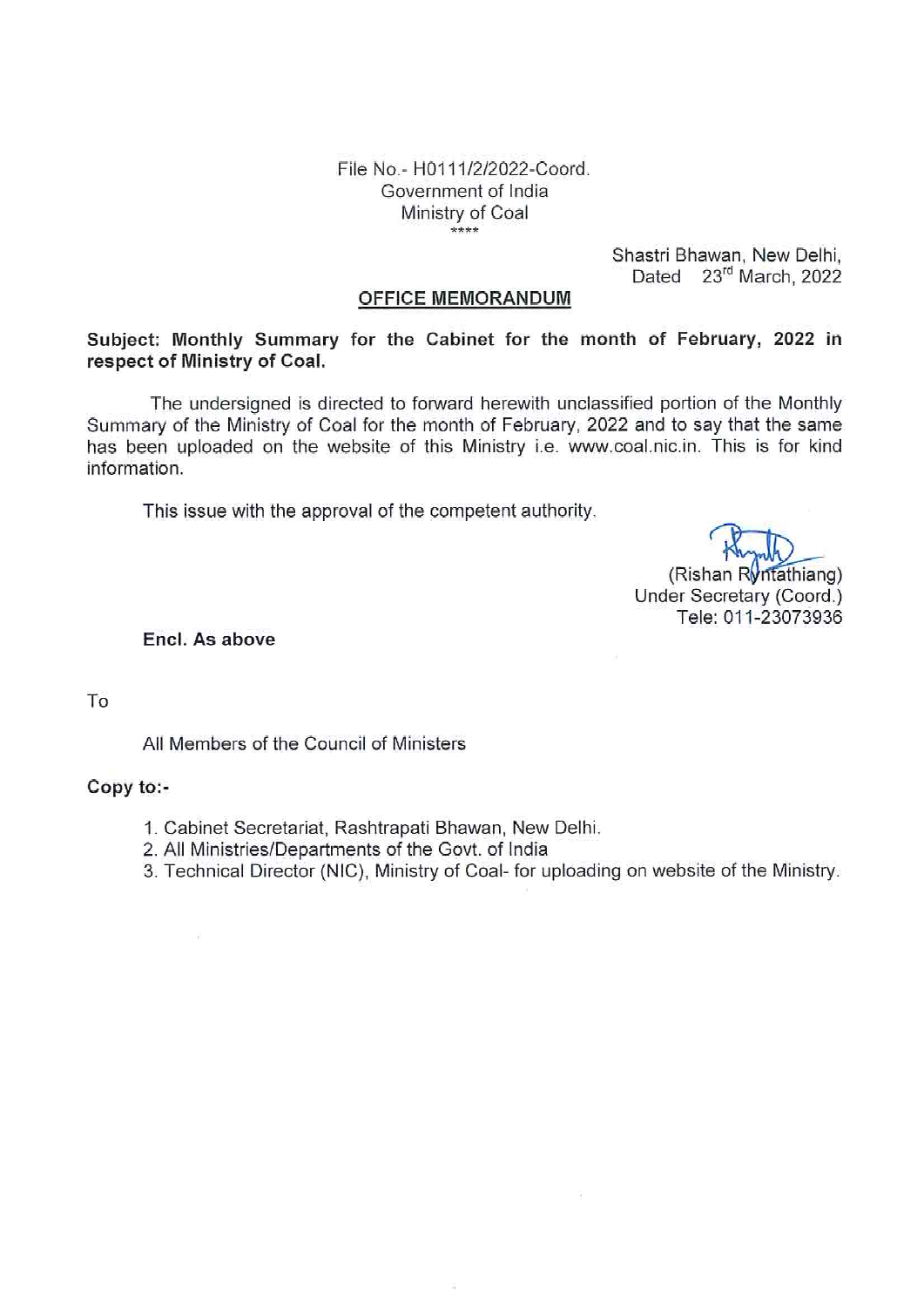File No.- H0111/2/2022-Coord. Government of India Ministry of Coal  $***$ 

> Shastri Bhawan, New Delhi, Dated 23rd March, 2022

#### **OFFICE MEMORANDUM**

Subject: Monthly Summary for the Cabinet for the month of February, 2022 in respect of Ministry of Coal.

The undersigned is directed to forward herewith unclassified portion of the Monthly Summary of the Ministry of Coal for the month of February, 2022 and to say that the same has been uploaded on the website of this Ministry i.e. www.coal.nic.in. This is for kind information.

This issue with the approval of the competent authority.

(Rishan Ryntathiang)

Under Secretary (Coord.) Tele: 011-23073936

Encl. As above

 $\tilde{t}_i$ 

To

All Members of the Council of Ministers

## Copy to:-

- 1. Cabinet Secretariat, Rashtrapati Bhawan, New Delhi.
- 2. All Ministries/Departments of the Govt. of India

3. Technical Director (NIC), Ministry of Coal- for uploading on website of the Ministry.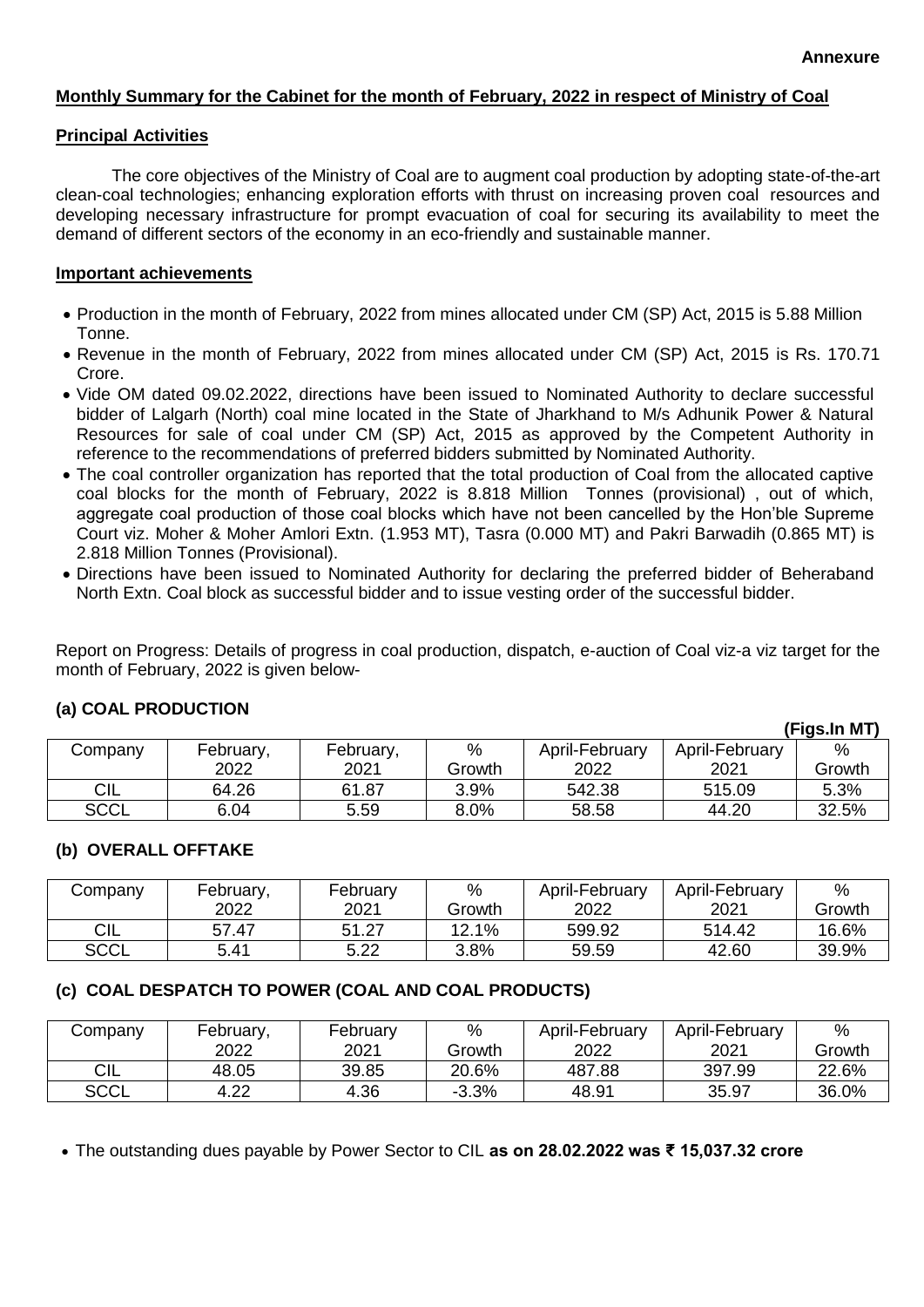**(Figs.In MT)**

### **Monthly Summary for the Cabinet for the month of February, 2022 in respect of Ministry of Coal**

#### **Principal Activities**

The core objectives of the Ministry of Coal are to augment coal production by adopting state-of-the-art clean-coal technologies; enhancing exploration efforts with thrust on increasing proven coal resources and developing necessary infrastructure for prompt evacuation of coal for securing its availability to meet the demand of different sectors of the economy in an eco-friendly and sustainable manner.

#### **Important achievements**

- Production in the month of February, 2022 from mines allocated under CM (SP) Act, 2015 is 5.88 Million Tonne.
- Revenue in the month of February, 2022 from mines allocated under CM (SP) Act, 2015 is Rs. 170.71 Crore.
- Vide OM dated 09.02.2022, directions have been issued to Nominated Authority to declare successful bidder of Lalgarh (North) coal mine located in the State of Jharkhand to M/s Adhunik Power & Natural Resources for sale of coal under CM (SP) Act, 2015 as approved by the Competent Authority in reference to the recommendations of preferred bidders submitted by Nominated Authority.
- The coal controller organization has reported that the total production of Coal from the allocated captive coal blocks for the month of February, 2022 is 8.818 Million Tonnes (provisional) , out of which, aggregate coal production of those coal blocks which have not been cancelled by the Hon'ble Supreme Court viz. Moher & Moher Amlori Extn. (1.953 MT), Tasra (0.000 MT) and Pakri Barwadih (0.865 MT) is 2.818 Million Tonnes (Provisional).
- Directions have been issued to Nominated Authority for declaring the preferred bidder of Beheraband North Extn. Coal block as successful bidder and to issue vesting order of the successful bidder.

Report on Progress: Details of progress in coal production, dispatch, e-auction of Coal viz-a viz target for the month of February, 2022 is given below-

|             |           |           |         |                |                | 11 143.III IVI I J |
|-------------|-----------|-----------|---------|----------------|----------------|--------------------|
| Company     | February, | February, | $\%$    | April-February | April-February | $\%$               |
|             | 2022      | 2021      | Growth  | 2022           | 2021           | Growth             |
| CIL         | 64.26     | 61.87     | 3.9%    | 542.38         | 515.09         | 5.3%               |
| <b>SCCL</b> | 6.04      | 5.59      | $8.0\%$ | 58.58          | 44.20          | 32.5%              |

# **(a) COAL PRODUCTION**

### **(b) OVERALL OFFTAKE**

| Company     | February, | February | $\%$   | April-February | April-February | %      |
|-------------|-----------|----------|--------|----------------|----------------|--------|
|             | 2022      | 2021     | Growth | 2022           | 2021           | Growth |
| CIL         | 57.47     | 51.27    | 12.1%  | 599.92         | 514.42         | 16.6%  |
| <b>SCCL</b> | 5.41      | 5.22     | 3.8%   | 59.59          | 42.60          | 39.9%  |

# **(c) COAL DESPATCH TO POWER (COAL AND COAL PRODUCTS)**

| Company     | February, | February | $\%$    | April-February | April-February | %      |
|-------------|-----------|----------|---------|----------------|----------------|--------|
|             | 2022      | 2021     | Growth  | 2022           | 2021           | Growth |
| CIL         | 48.05     | 39.85    | 20.6%   | 487.88         | 397.99         | 22.6%  |
| <b>SCCL</b> | 4.22      | 4.36     | $-3.3%$ | 48.91          | 35.97          | 36.0%  |

The outstanding dues payable by Power Sector to CIL **as on 28.02.2022 was ₹ 15,037.32 crore**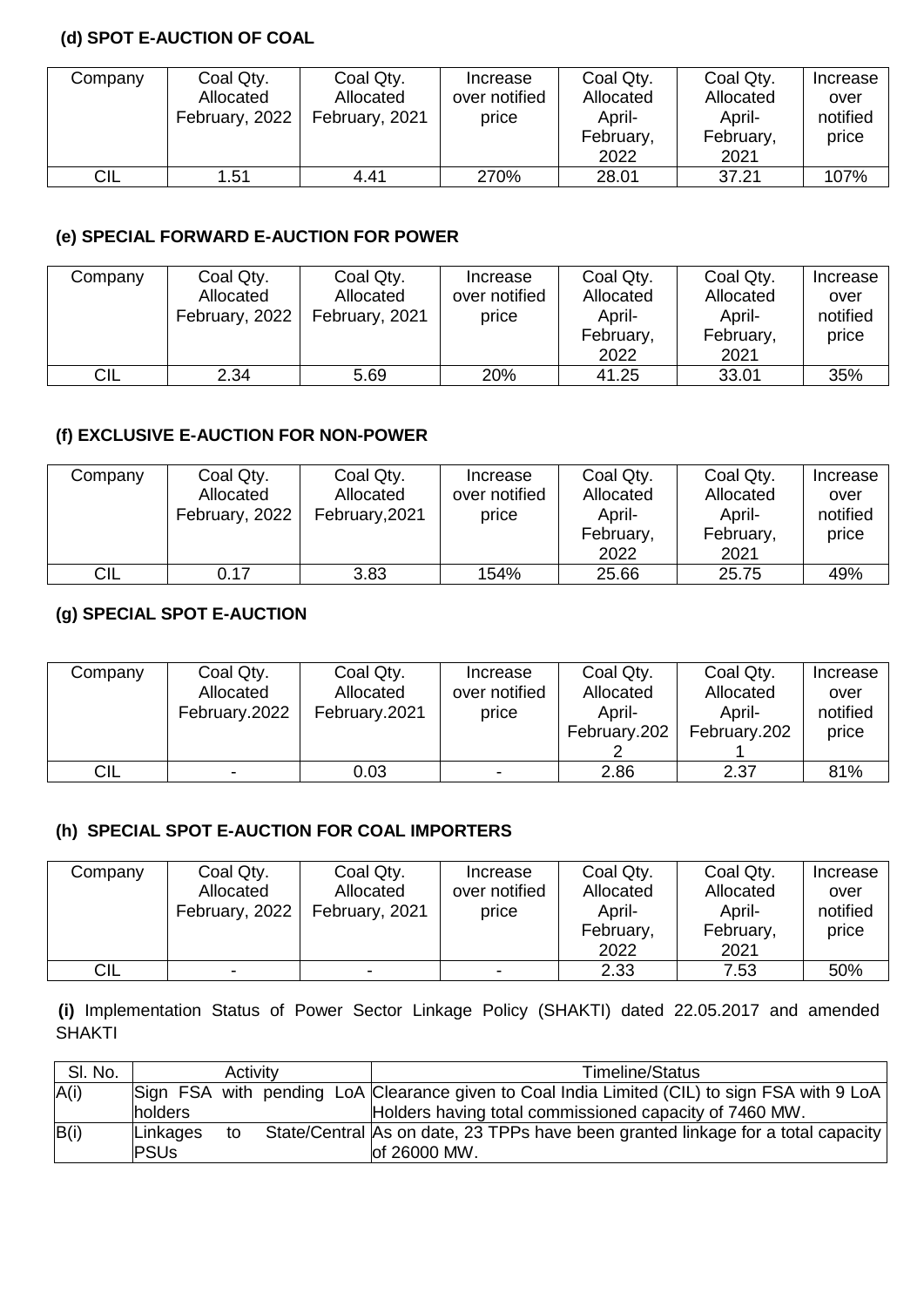# **(d) SPOT E-AUCTION OF COAL**

| Company    | Coal Qty.<br>Allocated | Coal Qty.<br>Allocated | Increase<br>over notified | Coal Qty.<br>Allocated | Coal Qty.<br>Allocated | Increase<br>over<br>notified |
|------------|------------------------|------------------------|---------------------------|------------------------|------------------------|------------------------------|
|            | February, 2022         | February, 2021         | price                     | April-<br>February,    | April-<br>February,    | price                        |
|            |                        |                        |                           | 2022                   | 2021                   |                              |
| <b>CIL</b> | 1.51                   | 4.41                   | 270%                      | 28.01                  | 37.21                  | 107%                         |

# **(e) SPECIAL FORWARD E-AUCTION FOR POWER**

| Company | Coal Qty.<br>Allocated<br>February, 2022 | Coal Qty.<br>Allocated<br>February, 2021 | Increase<br>over notified<br>price | Coal Qty.<br>Allocated<br>April-<br>February,<br>2022 | Coal Qty.<br>Allocated<br>April-<br>February,<br>2021 | Increase<br>over<br>notified<br>price |
|---------|------------------------------------------|------------------------------------------|------------------------------------|-------------------------------------------------------|-------------------------------------------------------|---------------------------------------|
| CIL     | 2.34                                     | 5.69                                     | 20%                                | 41.25                                                 | 33.01                                                 | 35%                                   |

# **(f) EXCLUSIVE E-AUCTION FOR NON-POWER**

| Company | Coal Qty.      | Coal Qty.      | Increase      | Coal Qty. | Coal Qty. | Increase |
|---------|----------------|----------------|---------------|-----------|-----------|----------|
|         | Allocated      | Allocated      | over notified | Allocated | Allocated | over     |
|         | February, 2022 | February, 2021 | price         | April-    | April-    | notified |
|         |                |                |               | February, | February, | price    |
|         |                |                |               | 2022      | 2021      |          |
| CIL     | 0.17           | 3.83           | 154%          | 25.66     | 25.75     | 49%      |

# **(g) SPECIAL SPOT E-AUCTION**

| Company    | Coal Qty.                | Coal Qty.     | Increase      | Coal Qty.    | Coal Qty.    | Increase |
|------------|--------------------------|---------------|---------------|--------------|--------------|----------|
|            | Allocated                | Allocated     | over notified | Allocated    | Allocated    | over     |
|            | February.2022            | February.2021 | price         | April-       | April-       | notified |
|            |                          |               |               | February.202 | February.202 | price    |
|            |                          |               |               |              |              |          |
| <b>CIL</b> | $\overline{\phantom{0}}$ | 0.03          |               | 2.86         | 2.37         | 81%      |

### **(h) SPECIAL SPOT E-AUCTION FOR COAL IMPORTERS**

| Company | Coal Qty.      | Coal Qty.      | Increase      | Coal Qty. | Coal Qty. | Increase |
|---------|----------------|----------------|---------------|-----------|-----------|----------|
|         | Allocated      | Allocated      | over notified | Allocated | Allocated | over     |
|         | February, 2022 | February, 2021 | price         | April-    | April-    | notified |
|         |                |                |               | February, | February, | price    |
|         |                |                |               | 2022      | 2021      |          |
| CIL     | $\blacksquare$ | $\,$           |               | 2.33      | 7.53      | 50%      |

**(i)** Implementation Status of Power Sector Linkage Policy (SHAKTI) dated 22.05.2017 and amended SHAKTI

| SI. No. |                         | Activity |  | Timeline/Status                                                                                   |
|---------|-------------------------|----------|--|---------------------------------------------------------------------------------------------------|
| A(i)    |                         |          |  | Sign FSA with pending LoA Clearance given to Coal India Limited (CIL) to sign FSA with 9 LoA      |
|         | holders                 |          |  | Holders having total commissioned capacity of 7460 MW.                                            |
| B(i)    | Linkages<br><b>PSUs</b> | to       |  | State/Central As on date, 23 TPPs have been granted linkage for a total capacity<br>lof 26000 MW. |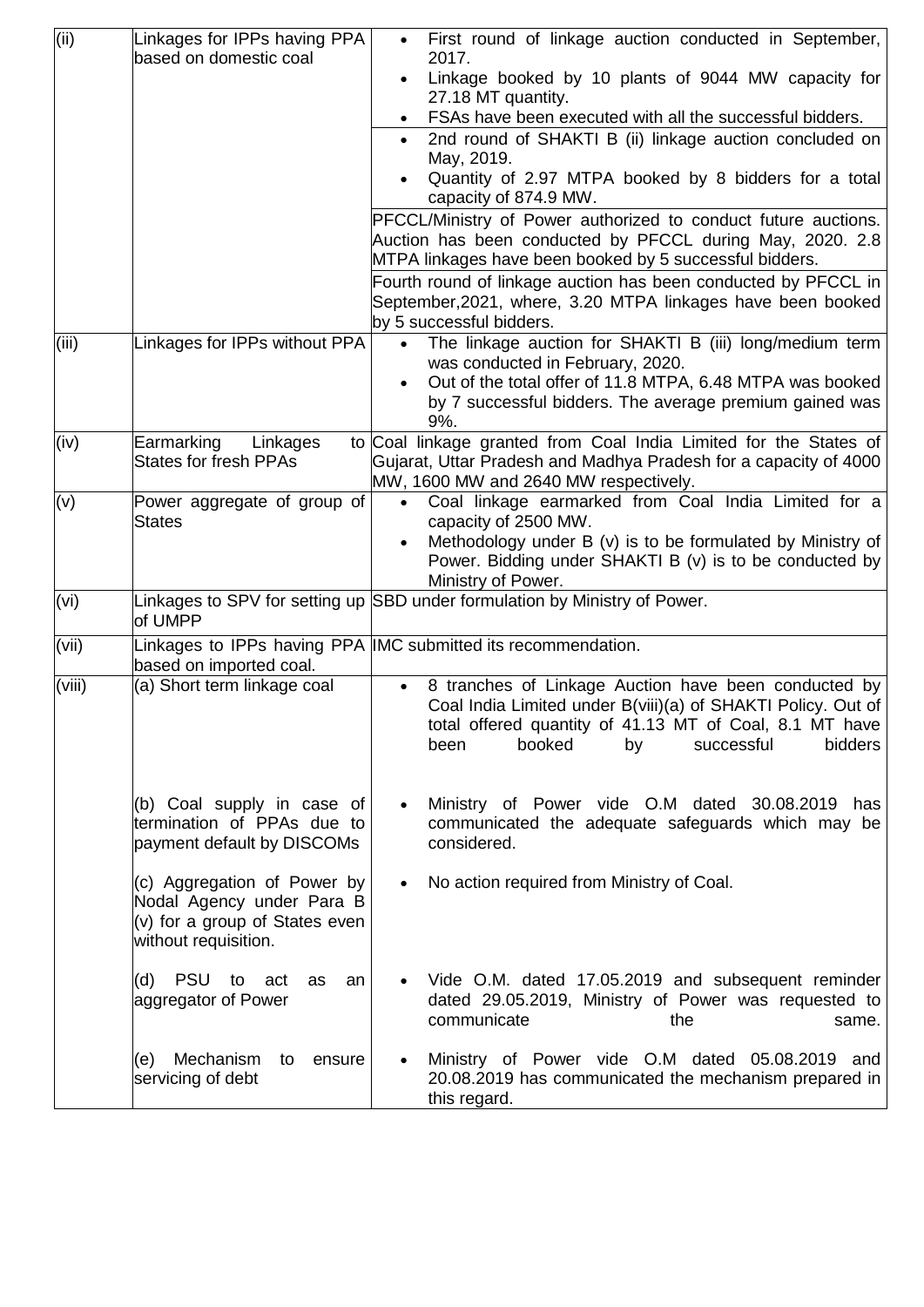| (iii)  | Linkages for IPPs having PPA                                                                                         | First round of linkage auction conducted in September,                                                                                                                                                                           |
|--------|----------------------------------------------------------------------------------------------------------------------|----------------------------------------------------------------------------------------------------------------------------------------------------------------------------------------------------------------------------------|
|        | based on domestic coal                                                                                               | 2017.<br>Linkage booked by 10 plants of 9044 MW capacity for                                                                                                                                                                     |
|        |                                                                                                                      | 27.18 MT quantity.                                                                                                                                                                                                               |
|        |                                                                                                                      | FSAs have been executed with all the successful bidders.                                                                                                                                                                         |
|        |                                                                                                                      | 2nd round of SHAKTI B (ii) linkage auction concluded on<br>May, 2019.                                                                                                                                                            |
|        |                                                                                                                      | Quantity of 2.97 MTPA booked by 8 bidders for a total                                                                                                                                                                            |
|        |                                                                                                                      | capacity of 874.9 MW.<br>PFCCL/Ministry of Power authorized to conduct future auctions.                                                                                                                                          |
|        |                                                                                                                      | Auction has been conducted by PFCCL during May, 2020. 2.8<br>MTPA linkages have been booked by 5 successful bidders.                                                                                                             |
|        |                                                                                                                      | Fourth round of linkage auction has been conducted by PFCCL in<br>September, 2021, where, 3.20 MTPA linkages have been booked<br>by 5 successful bidders.                                                                        |
| (iii)  | Linkages for IPPs without PPA                                                                                        | The linkage auction for SHAKTI B (iii) long/medium term<br>$\bullet$<br>was conducted in February, 2020.                                                                                                                         |
|        |                                                                                                                      | Out of the total offer of 11.8 MTPA, 6.48 MTPA was booked<br>$\bullet$<br>by 7 successful bidders. The average premium gained was<br>9%.                                                                                         |
| (iv)   | Earmarking<br>Linkages<br><b>States for fresh PPAs</b>                                                               | to Coal linkage granted from Coal India Limited for the States of<br>Gujarat, Uttar Pradesh and Madhya Pradesh for a capacity of 4000<br>MW, 1600 MW and 2640 MW respectively.                                                   |
| (v)    | Power aggregate of group of<br><b>States</b>                                                                         | Coal linkage earmarked from Coal India Limited for a<br>$\bullet$<br>capacity of 2500 MW.                                                                                                                                        |
|        |                                                                                                                      | Methodology under B (v) is to be formulated by Ministry of<br>Power. Bidding under SHAKTI B (v) is to be conducted by                                                                                                            |
|        |                                                                                                                      | Ministry of Power.                                                                                                                                                                                                               |
| (vi)   | of UMPP                                                                                                              | Linkages to SPV for setting up SBD under formulation by Ministry of Power.                                                                                                                                                       |
| (vii)  | based on imported coal.                                                                                              | Linkages to IPPs having PPA IMC submitted its recommendation.                                                                                                                                                                    |
| (viii) | (a) Short term linkage coal                                                                                          | 8 tranches of Linkage Auction have been conducted by<br>Coal India Limited under B(viii)(a) of SHAKTI Policy. Out of<br>total offered quantity of 41.13 MT of Coal, 8.1 MT have<br>bidders<br>booked<br>successful<br>been<br>by |
|        | (b) Coal supply in case of<br>termination of PPAs due to<br>payment default by DISCOMs                               | Ministry of Power vide O.M dated 30.08.2019<br>has<br>$\bullet$<br>communicated the adequate safeguards which may be<br>considered.                                                                                              |
|        | (c) Aggregation of Power by<br>Nodal Agency under Para B<br>$(v)$ for a group of States even<br>without requisition. | No action required from Ministry of Coal.<br>$\bullet$                                                                                                                                                                           |
|        | (d) PSU<br>to act<br>as<br>an<br>aggregator of Power                                                                 | Vide O.M. dated 17.05.2019 and subsequent reminder<br>dated 29.05.2019, Ministry of Power was requested to<br>communicate<br>the<br>same.                                                                                        |
|        | Mechanism<br>(e)<br>to<br>ensure<br>servicing of debt                                                                | Ministry of Power vide O.M dated 05.08.2019 and<br>20.08.2019 has communicated the mechanism prepared in<br>this regard.                                                                                                         |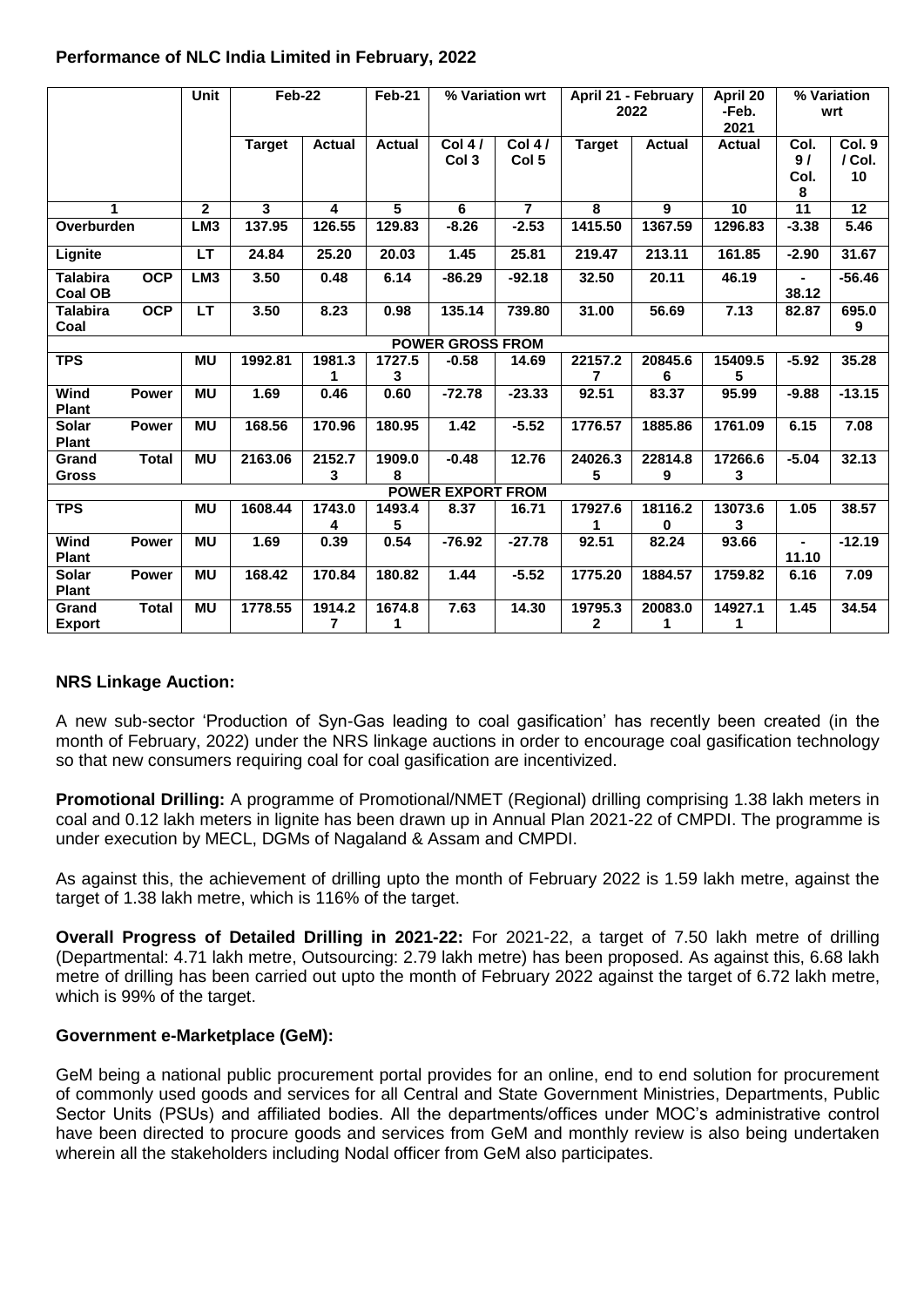|                                   |              | <b>Unit</b>     | <b>Feb-22</b> |                          | Feb-21         |                              | % Variation wrt              |                         | April 21 - February<br>2022 | April 20<br>-Feb.<br>2021 |                         | % Variation<br>wrt     |
|-----------------------------------|--------------|-----------------|---------------|--------------------------|----------------|------------------------------|------------------------------|-------------------------|-----------------------------|---------------------------|-------------------------|------------------------|
|                                   |              |                 | <b>Target</b> | <b>Actual</b>            | <b>Actual</b>  | Col $4/$<br>Col <sub>3</sub> | Col $4/$<br>Col <sub>5</sub> | <b>Target</b>           | <b>Actual</b>               | <b>Actual</b>             | Col.<br>9/<br>Col.<br>8 | Col. 9<br>/ Col.<br>10 |
| 1                                 |              | $\overline{2}$  | 3             | 4                        | $\overline{5}$ | 6                            | $\overline{7}$               | 8                       | 9                           | 10                        | $\overline{11}$         | $\overline{12}$        |
| Overburden                        |              | LM3             | 137.95        | 126.55                   | 129.83         | $-8.26$                      | $-2.53$                      | 1415.50                 | 1367.59                     | 1296.83                   | $-3.38$                 | 5.46                   |
| Lignite                           |              | LT              | 24.84         | 25.20                    | 20.03          | 1.45                         | 25.81                        | 219.47                  | 213.11                      | 161.85                    | $-2.90$                 | 31.67                  |
| <b>Talabira</b><br><b>Coal OB</b> | <b>OCP</b>   | LM <sub>3</sub> | 3.50          | 0.48                     | 6.14           | $-86.29$                     | $-92.18$                     | 32.50                   | 20.11                       | 46.19                     | $\blacksquare$<br>38.12 | $-56.46$               |
| <b>Talabira</b><br>Coal           | <b>OCP</b>   | LT              | 3.50          | 8.23                     | 0.98           | 135.14                       | 739.80                       | 31.00                   | 56.69                       | 7.13                      | 82.87                   | 695.0<br>9             |
|                                   |              |                 |               |                          |                | <b>POWER GROSS FROM</b>      |                              |                         |                             |                           |                         |                        |
| <b>TPS</b>                        |              | <b>MU</b>       | 1992.81       | 1981.3<br>1              | 1727.5<br>3    | $-0.58$                      | 14.69                        | 22157.2                 | 20845.6<br>6                | 15409.5<br>5              | $-5.92$                 | 35.28                  |
| Wind<br><b>Plant</b>              | <b>Power</b> | <b>MU</b>       | 1.69          | 0.46                     | 0.60           | $-72.78$                     | $-23.33$                     | 92.51                   | 83.37                       | 95.99                     | $-9.88$                 | $-13.15$               |
| <b>Solar</b><br><b>Plant</b>      | <b>Power</b> | <b>MU</b>       | 168.56        | 170.96                   | 180.95         | 1.42                         | $-5.52$                      | 1776.57                 | 1885.86                     | 1761.09                   | 6.15                    | 7.08                   |
| Grand<br><b>Gross</b>             | <b>Total</b> | MU              | 2163.06       | 2152.7<br>3              | 1909.0<br>8    | $-0.48$                      | 12.76                        | 24026.3<br>5            | 22814.8<br>9                | 17266.6<br>3              | $-5.04$                 | 32.13                  |
|                                   |              |                 |               |                          |                | <b>POWER EXPORT FROM</b>     |                              |                         |                             |                           |                         |                        |
| <b>TPS</b>                        |              | MU              | 1608.44       | 1743.0<br>4              | 1493.4<br>5    | 8.37                         | 16.71                        | 17927.6                 | 18116.2<br>0                | 13073.6<br>3              | 1.05                    | 38.57                  |
| Wind<br><b>Plant</b>              | <b>Power</b> | MU              | 1.69          | 0.39                     | 0.54           | $-76.92$                     | $-27.78$                     | 92.51                   | 82.24                       | 93.66                     | $\blacksquare$<br>11.10 | $-12.19$               |
| <b>Solar</b><br><b>Plant</b>      | <b>Power</b> | <b>MU</b>       | 168.42        | 170.84                   | 180.82         | 1.44                         | $-5.52$                      | 1775.20                 | 1884.57                     | 1759.82                   | 6.16                    | 7.09                   |
| Grand<br><b>Export</b>            | <b>Total</b> | <b>MU</b>       | 1778.55       | 1914.2<br>$\overline{7}$ | 1674.8<br>1    | 7.63                         | 14.30                        | 19795.3<br>$\mathbf{2}$ | 20083.0<br>1                | 14927.1<br>1              | 1.45                    | 34.54                  |

## **Performance of NLC India Limited in February, 2022**

### **NRS Linkage Auction:**

A new sub-sector 'Production of Syn-Gas leading to coal gasification' has recently been created (in the month of February, 2022) under the NRS linkage auctions in order to encourage coal gasification technology so that new consumers requiring coal for coal gasification are incentivized.

**Promotional Drilling:** A programme of Promotional/NMET (Regional) drilling comprising 1.38 lakh meters in coal and 0.12 lakh meters in lignite has been drawn up in Annual Plan 2021-22 of CMPDI. The programme is under execution by MECL, DGMs of Nagaland & Assam and CMPDI.

As against this, the achievement of drilling upto the month of February 2022 is 1.59 lakh metre, against the target of 1.38 lakh metre, which is 116% of the target.

**Overall Progress of Detailed Drilling in 2021-22:** For 2021-22, a target of 7.50 lakh metre of drilling (Departmental: 4.71 lakh metre, Outsourcing: 2.79 lakh metre) has been proposed. As against this, 6.68 lakh metre of drilling has been carried out upto the month of February 2022 against the target of 6.72 lakh metre, which is 99% of the target.

### **Government e-Marketplace (GeM):**

GeM being a national public procurement portal provides for an online, end to end solution for procurement of commonly used goods and services for all Central and State Government Ministries, Departments, Public Sector Units (PSUs) and affiliated bodies. All the departments/offices under MOC's administrative control have been directed to procure goods and services from GeM and monthly review is also being undertaken wherein all the stakeholders including Nodal officer from GeM also participates.